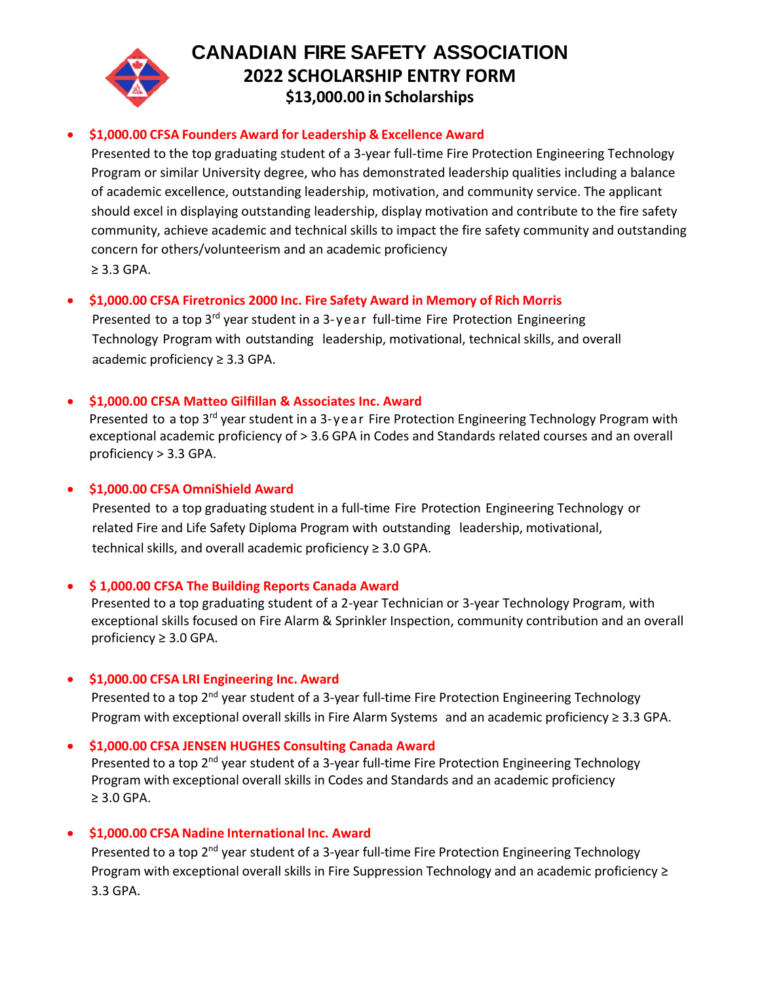

# **CANADIAN FIRE SAFETY ASSOCIATION 2022 SCHOLARSHIP ENTRY FORM \$13,000.00 in Scholarships**

# • **\$1,000.00 CFSA Founders Award for Leadership & Excellence Award**

Presented to the top graduating student of a 3-year full-time Fire Protection Engineering Technology Program or similar University degree, who has demonstrated leadership qualities including a balance of academic excellence, outstanding leadership, motivation, and community service. The applicant should excel in displaying outstanding leadership, display motivation and contribute to the fire safety community, achieve academic and technical skills to impact the fire safety community and outstanding concern for others/volunteerism and an academic proficiency ≥ 3.3 GPA.

# • **\$1,000.00 CFSA Firetronics 2000 Inc. Fire Safety Award in Memory of Rich Morris**

Presented to a top  $3^{rd}$  year student in a  $3$ -year full-time Fire Protection Engineering Technology Program with outstanding leadership, motivational, technical skills, and overall academic proficiency ≥ 3.3 GPA.

#### • **\$1,000.00 CFSA Matteo Gilfillan & Associates Inc. Award**

Presented to a top  $3^{rd}$  year student in a 3-ye ar Fire Protection Engineering Technology Program with exceptional academic proficiency of > 3.6 GPA in Codes and Standards related courses and an overall proficiency > 3.3 GPA.

#### • **\$1,000.00 CFSA OmniShield Award**

Presented to a top graduating student in a full-time Fire Protection Engineering Technology or related Fire and Life Safety Diploma Program with outstanding leadership, motivational, technical skills, and overall academic proficiency ≥ 3.0 GPA.

#### • **\$ 1,000.00 CFSA The Building Reports Canada Award**

Presented to a top graduating student of a 2-year Technician or 3-year Technology Program, with exceptional skills focused on Fire Alarm & Sprinkler Inspection, community contribution and an overall proficiency ≥ 3.0 GPA.

# • **\$1,000.00 CFSA LRI Engineering Inc. Award**

Presented to a top 2<sup>nd</sup> year student of a 3-year full-time Fire Protection Engineering Technology Program with exceptional overall skills in Fire Alarm Systems and an academic proficiency ≥ 3.3 GPA.

# • **\$1,000.00 CFSA JENSEN HUGHES Consulting Canada Award**

Presented to a top 2<sup>nd</sup> year student of a 3-year full-time Fire Protection Engineering Technology Program with exceptional overall skills in Codes and Standards and an academic proficiency ≥ 3.0 GPA.

# • **\$1,000.00 CFSA Nadine International Inc. Award**

Presented to a top 2<sup>nd</sup> year student of a 3-year full-time Fire Protection Engineering Technology Program with exceptional overall skills in Fire Suppression Technology and an academic proficiency ≥ 3.3 GPA.